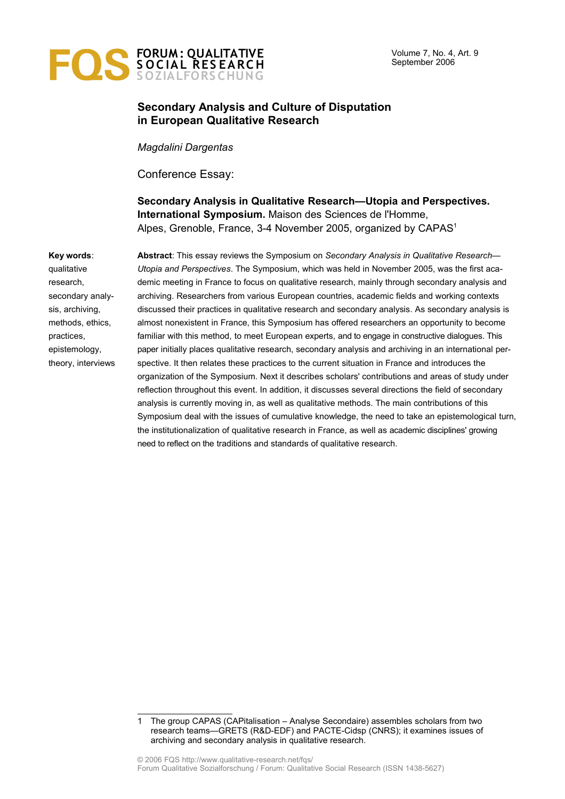

# **Secondary Analysis and Culture of Disputation in European Qualitative Research**

*Magdalini Dargentas*

Conference Essay:

**Secondary Analysis in Qualitative Research—Utopia and Perspectives. International Symposium.** Maison des Sciences de l'Homme, Alpes, Grenoble, France, 3-4 November 2005, organized by CAPAS<sup>[1](#page-0-0)</sup>

#### **Key words**:

qualitative research, secondary analysis, archiving, methods, ethics, practices, epistemology, theory, interviews **Abstract**: This essay reviews the Symposium on *Secondary Analysis in Qualitative Research— Utopia and Perspectives*. The Symposium, which was held in November 2005, was the first academic meeting in France to focus on qualitative research, mainly through secondary analysis and archiving. Researchers from various European countries, academic fields and working contexts discussed their practices in qualitative research and secondary analysis. As secondary analysis is almost nonexistent in France, this Symposium has offered researchers an opportunity to become familiar with this method, to meet European experts, and to engage in constructive dialogues. This paper initially places qualitative research, secondary analysis and archiving in an international perspective. It then relates these practices to the current situation in France and introduces the organization of the Symposium. Next it describes scholars' contributions and areas of study under reflection throughout this event. In addition, it discusses several directions the field of secondary analysis is currently moving in, as well as qualitative methods. The main contributions of this Symposium deal with the issues of cumulative knowledge, the need to take an epistemological turn, the institutionalization of qualitative research in France, as well as academic disciplines' growing need to reflect on the traditions and standards of qualitative research.

<span id="page-0-0"></span><sup>1</sup> The group CAPAS (CAPitalisation – Analyse Secondaire) assembles scholars from two research teams—GRETS (R&D-EDF) and PACTE-Cidsp (CNRS); it examines issues of archiving and secondary analysis in qualitative research.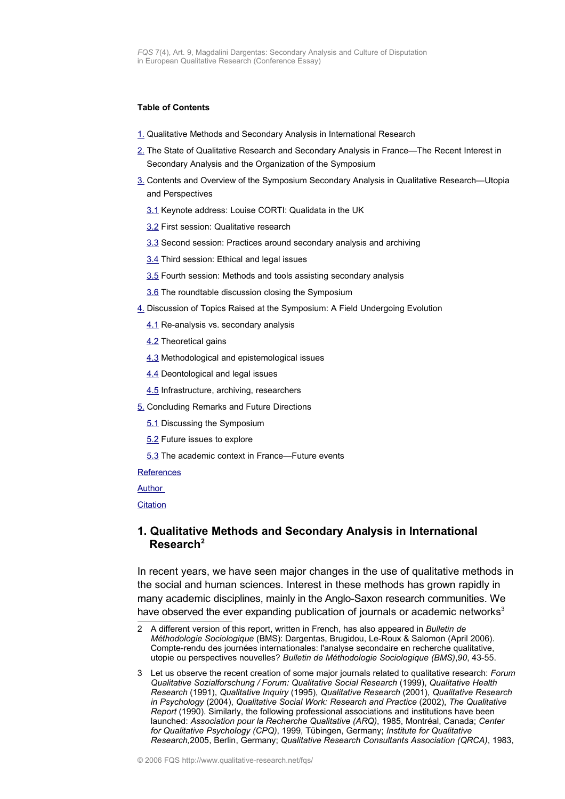#### **Table of Contents**

- [1.](#page-1-0) Qualitative Methods and Secondary Analysis in International Research
- [2.](#page-4-0) The State of Qualitative Research and Secondary Analysis in France—The Recent Interest in Secondary Analysis and the Organization of the Symposium
- [3.](#page-6-2) Contents and Overview of the Symposium Secondary Analysis in Qualitative Research—Utopia and Perspectives
	- [3.1](#page-6-1) Keynote address: Louise CORTI: Qualidata in the UK
	- [3.2](#page-6-0) First session: Qualitative research
	- [3.3](#page-7-0) Second session: Practices around secondary analysis and archiving
	- [3.4](#page-9-1) Third session: Ethical and legal issues
	- [3.5](#page-9-0) Fourth session: Methods and tools assisting secondary analysis
	- [3.6](#page-10-2) The roundtable discussion closing the Symposium
- [4.](#page-10-1) Discussion of Topics Raised at the Symposium: A Field Undergoing Evolution
	- [4.1](#page-10-0) Re-analysis vs. secondary analysis
	- [4.2](#page-11-1) Theoretical gains
	- [4.3](#page-11-0) Methodological and epistemological issues
	- **[4.4](#page-12-0) Deontological and legal issues**
	- [4.5](#page-13-2) Infrastructure, archiving, researchers
- [5.](#page-13-1) Concluding Remarks and Future Directions
	- [5.1](#page-13-0) Discussing the Symposium
	- [5.2](#page-14-0) Future issues to explore
	- [5.3](#page-15-0) The academic context in France—Future events

**[References](#page-16-0)** 

[Author](#page-18-1)

**[Citation](#page-18-0)** 

#### <span id="page-1-0"></span>**1. Qualitative Methods and Secondary Analysis in International Research[2](#page-1-1)**

In recent years, we have seen major changes in the use of qualitative methods in the social and human sciences. Interest in these methods has grown rapidly in many academic disciplines, mainly in the Anglo-Saxon research communities. We have observed the ever expanding publication of journals or academic networks<sup>[3](#page-1-2)</sup>

<span id="page-1-1"></span><sup>2</sup> A different version of this report, written in French, has also appeared in *Bulletin de Méthodologie Sociologique* (BMS): Dargentas, Brugidou, Le-Roux & Salomon (April 2006). Compte-rendu des journées internationales: l'analyse secondaire en recherche qualitative, utopie ou perspectives nouvelles? *Bulletin de Méthodologie Sociologique (BMS)*,*90*, 43-55.

<span id="page-1-2"></span><sup>3</sup> Let us observe the recent creation of some major journals related to qualitative research: *Forum Qualitative Sozialforschung / Forum: Qualitative Social Research* (1999), *Qualitative Health Research* (1991), *Qualitative Inquiry* (1995), *Qualitative Research* (2001), *Qualitative Research in Psychology* (2004), *Qualitative Social Work: Research and Practice* (2002), *The Qualitative Report* (1990). Similarly, the following professional associations and institutions have been launched: *Association pour la Recherche Qualitative (ARQ)*, 1985, Montréal, Canada; *Center for Qualitative Psychology (CPQ)*, 1999, Tübingen, Germany; *Institute for Qualitative Research,*2005, Berlin, Germany; *Qualitative Research Consultants Association (QRCA)*, 1983,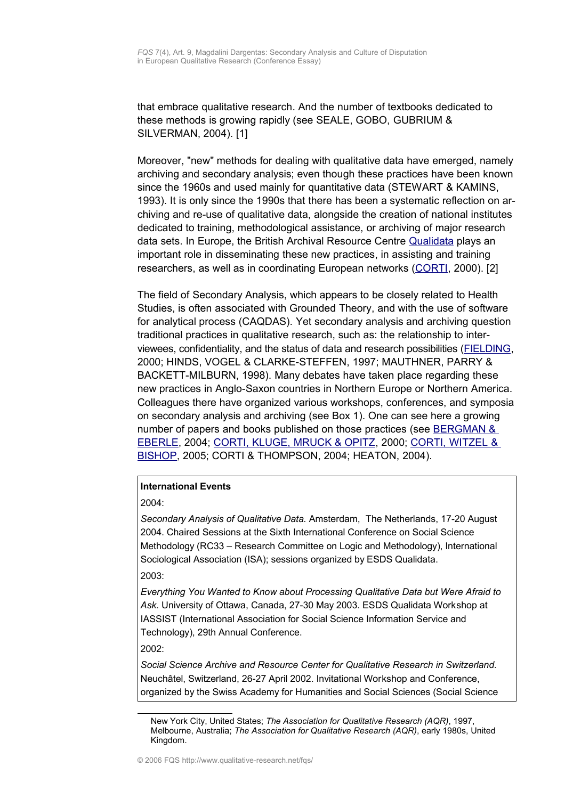that embrace qualitative research. And the number of textbooks dedicated to these methods is growing rapidly (see SEALE, GOBO, GUBRIUM & SILVERMAN, 2004). [1]

Moreover, "new" methods for dealing with qualitative data have emerged, namely archiving and secondary analysis; even though these practices have been known since the 1960s and used mainly for quantitative data (STEWART & KAMINS, 1993). It is only since the 1990s that there has been a systematic reflection on archiving and re-use of qualitative data, alongside the creation of national institutes dedicated to training, methodological assistance, or archiving of major research data sets. In Europe, the British Archival Resource Centre **[Qualidata](http://www.esds.ac.uk/qualidata/about/introduction.asp)** plays an important role in disseminating these new practices, in assisting and training researchers, as well as in coordinating European networks [\(CORTI,](http://www.qualitative-research.net/fqs-texte/3-00/3-00corti-e.htm) 2000). [2]

The field of Secondary Analysis, which appears to be closely related to Health Studies, is often associated with Grounded Theory, and with the use of software for analytical process (CAQDAS). Yet secondary analysis and archiving question traditional practices in qualitative research, such as: the relationship to interviewees, confidentiality, and the status of data and research possibilities [\(FIELDING,](http://www.qualitative-research.net/fqs-texte/3-00/3-00fielding-e.htm) 2000; HINDS, VOGEL & CLARKE-STEFFEN, 1997; MAUTHNER, PARRY & BACKETT-MILBURN, 1998). Many debates have taken place regarding these new practices in Anglo-Saxon countries in Northern Europe or Northern America. Colleagues there have organized various workshops, conferences, and symposia on secondary analysis and archiving (see Box 1). One can see here a growing number of papers and books published on those practices (see [BERGMAN &](http://www.qualitative-research.net/fqs/fqs-e/inhalt2-05-e.htm) [EBERLE,](http://www.qualitative-research.net/fqs/fqs-e/inhalt2-05-e.htm) 2004; CORTI, KLUGE, [MRUCK & OPITZ,](http://www.qualitative-research.net/fqs/fqs-e/inhalt3-00-e.htm) 2000; [CORTI, WITZEL &](http://www.qualitative-research.net/fqs/fqs-e/inhalt1-05-e.htm) [BISHOP,](http://www.qualitative-research.net/fqs/fqs-e/inhalt1-05-e.htm) 2005; CORTI & THOMPSON, 2004; HEATON, 2004).

#### **International Events**

2004:

*Secondary Analysis of Qualitative Data.* Amsterdam, The Netherlands, 17-20 August 2004. Chaired Sessions at the Sixth International Conference on Social Science Methodology (RC33 – Research Committee on Logic and Methodology), International Sociological Association (ISA); sessions organized by ESDS Qualidata. 2003:

*Everything You Wanted to Know about Processing Qualitative Data but Were Afraid to Ask.* University of Ottawa, Canada, 27-30 May 2003. ESDS Qualidata Workshop at IASSIST (International Association for Social Science Information Service and Technology), 29th Annual Conference.

2002:

*Social Science Archive and Resource Center for Qualitative Research in Switzerland.* Neuchâtel, Switzerland, 26-27 April 2002. Invitational Workshop and Conference, organized by the Swiss Academy for Humanities and Social Sciences (Social Science

New York City, United States; *The Association for Qualitative Research (AQR)*, 1997, Melbourne, Australia; *The Association for Qualitative Research (AQR)*, early 1980s, United Kingdom.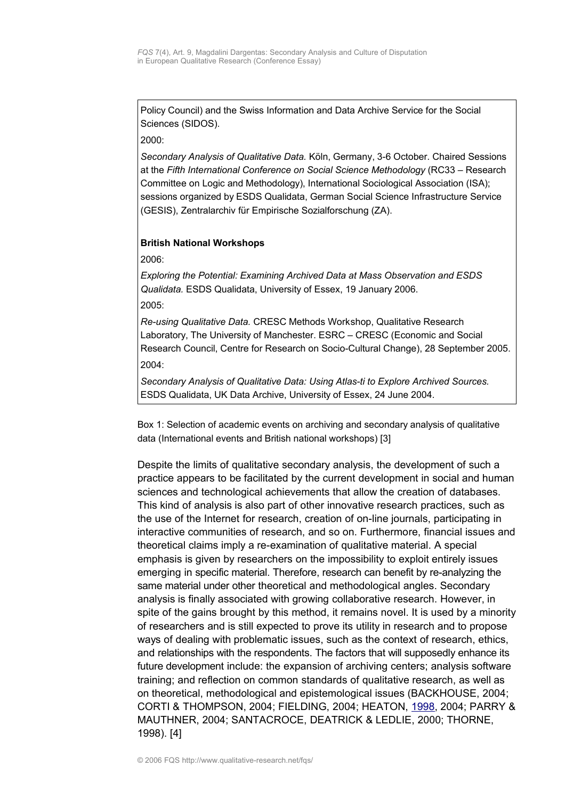Policy Council) and the Swiss Information and Data Archive Service for the Social Sciences (SIDOS).

2000:

*Secondary Analysis of Qualitative Data.* Köln, Germany, 3-6 October. Chaired Sessions at the *Fifth International Conference on Social Science Methodology* (RC33 – Research Committee on Logic and Methodology), International Sociological Association (ISA); sessions organized by ESDS Qualidata, German Social Science Infrastructure Service (GESIS), Zentralarchiv für Empirische Sozialforschung (ZA).

### **British National Workshops**

2006:

*Exploring the Potential: Examining Archived Data at Mass Observation and ESDS Qualidata.* ESDS Qualidata, University of Essex, 19 January 2006. 2005:

*Re-using Qualitative Data.* CRESC Methods Workshop, Qualitative Research Laboratory, The University of Manchester. ESRC – CRESC (Economic and Social Research Council, Centre for Research on Socio-Cultural Change), 28 September 2005. 2004:

*Secondary Analysis of Qualitative Data: Using Atlas-ti to Explore Archived Sources.* ESDS Qualidata, UK Data Archive, University of Essex, 24 June 2004.

Box 1: Selection of academic events on archiving and secondary analysis of qualitative data (International events and British national workshops) [3]

Despite the limits of qualitative secondary analysis, the development of such a practice appears to be facilitated by the current development in social and human sciences and technological achievements that allow the creation of databases. This kind of analysis is also part of other innovative research practices, such as the use of the Internet for research, creation of on-line journals, participating in interactive communities of research, and so on. Furthermore, financial issues and theoretical claims imply a re-examination of qualitative material. A special emphasis is given by researchers on the impossibility to exploit entirely issues emerging in specific material. Therefore, research can benefit by re-analyzing the same material under other theoretical and methodological angles. Secondary analysis is finally associated with growing collaborative research. However, in spite of the gains brought by this method, it remains novel. It is used by a minority of researchers and is still expected to prove its utility in research and to propose ways of dealing with problematic issues, such as the context of research, ethics, and relationships with the respondents. The factors that will supposedly enhance its future development include: the expansion of archiving centers; analysis software training; and reflection on common standards of qualitative research, as well as on theoretical, methodological and epistemological issues (BACKHOUSE, 2004; CORTI & THOMPSON, 2004; FIELDING, 2004; HEATON, [1998,](http://www.soc.surrey.ac.uk/sru/SRU22.html) 2004; PARRY & MAUTHNER, 2004; SANTACROCE, DEATRICK & LEDLIE, 2000; THORNE, 1998). [4]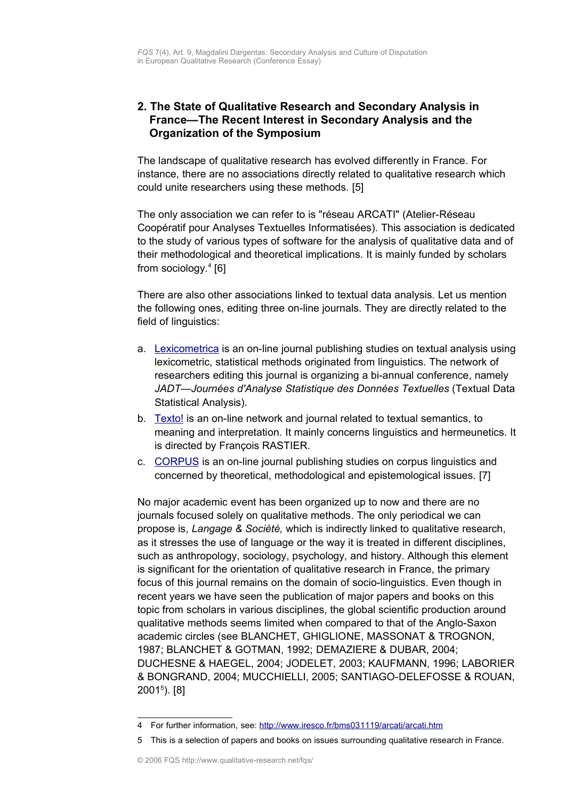# <span id="page-4-0"></span>**2. The State of Qualitative Research and Secondary Analysis in France—The Recent Interest in Secondary Analysis and the Organization of the Symposium**

The landscape of qualitative research has evolved differently in France. For instance, there are no associations directly related to qualitative research which could unite researchers using these methods. [5]

The only association we can refer to is "réseau ARCATI" (Atelier-Réseau Coopératif pour Analyses Textuelles Informatisées). This association is dedicated to the study of various types of software for the analysis of qualitative data and of their methodological and theoretical implications. It is mainly funded by scholars from sociology.<sup>[4](#page-4-1)</sup> [6]

There are also other associations linked to textual data analysis. Let us mention the following ones, editing three on-line journals. They are directly related to the field of linguistics:

- a. [Lexicometrica](http://www.cavi.univ-paris3.fr/lexicometrica/index.htm) is an on-line journal publishing studies on textual analysis using lexicometric, statistical methods originated from linguistics. The network of researchers editing this journal is organizing a bi-annual conference, namely *JADT—Journées d'Analyse Statistique des Données Textuelles* (Textual Data Statistical Analysis).
- b. [Texto!](http://http/www.revue-texto.net/) is an on-line network and journal related to textual semantics, to meaning and interpretation. It mainly concerns linguistics and hermeunetics. It is directed by François RASTIER.
- c. [CORPUS](http://revel.unice.fr/corpus/) is an on-line journal publishing studies on corpus linguistics and concerned by theoretical, methodological and epistemological issues. [7]

No major academic event has been organized up to now and there are no journals focused solely on qualitative methods. The only periodical we can propose is, *Langage & Société,* which is indirectly linked to qualitative research, as it stresses the use of language or the way it is treated in different disciplines, such as anthropology, sociology, psychology, and history. Although this element is significant for the orientation of qualitative research in France, the primary focus of this journal remains on the domain of socio-linguistics. Even though in recent years we have seen the publication of major papers and books on this topic from scholars in various disciplines, the global scientific production around qualitative methods seems limited when compared to that of the Anglo-Saxon academic circles (see BLANCHET, GHIGLIONE, MASSONAT & TROGNON, 1987; BLANCHET & GOTMAN, 1992; DEMAZIERE & DUBAR, 2004; DUCHESNE & HAEGEL, 2004; JODELET, 2003; KAUFMANN, 1996; LABORIER & BONGRAND, 2004; MUCCHIELLI, 2005; SANTIAGO-DELEFOSSE & ROUAN, 2001[5](#page-4-2) ). [8]

<span id="page-4-1"></span><sup>4</sup> For further information, see: <http://www.iresco.fr/bms031119/arcati/arcati.htm>

<span id="page-4-2"></span><sup>5</sup> This is a selection of papers and books on issues surrounding qualitative research in France.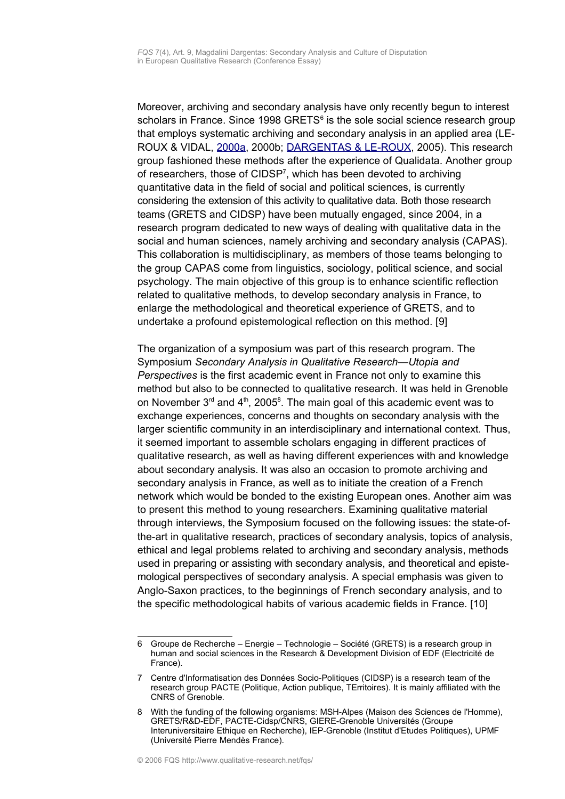Moreover, archiving and secondary analysis have only recently begun to interest scholars in France. Since 1998 GRETS $<sup>6</sup>$  $<sup>6</sup>$  $<sup>6</sup>$  is the sole social science research group</sup> that employs systematic archiving and secondary analysis in an applied area (LE-ROUX & VIDAL, [2000a,](http://www.qualitative-research.net/fqs-texte/3-00/3-00rouxvidal-e.htm) 2000b; [DARGENTAS & LE-ROUX,](http://www.qualitative-research.net/fqs-texte/1-05/05-1-40-e.htm) 2005). This research group fashioned these methods after the experience of Qualidata. Another group of researchers, those of CIDSP<sup>[7](#page-5-1)</sup>, which has been devoted to archiving quantitative data in the field of social and political sciences, is currently considering the extension of this activity to qualitative data. Both those research teams (GRETS and CIDSP) have been mutually engaged, since 2004, in a research program dedicated to new ways of dealing with qualitative data in the social and human sciences, namely archiving and secondary analysis (CAPAS). This collaboration is multidisciplinary, as members of those teams belonging to the group CAPAS come from linguistics, sociology, political science, and social psychology. The main objective of this group is to enhance scientific reflection related to qualitative methods, to develop secondary analysis in France, to enlarge the methodological and theoretical experience of GRETS, and to undertake a profound epistemological reflection on this method. [9]

The organization of a symposium was part of this research program. The Symposium *Secondary Analysis in Qualitative Research—Utopia and Perspectives* is the first academic event in France not only to examine this method but also to be connected to qualitative research. It was held in Grenoble on November  $3<sup>rd</sup>$  and  $4<sup>th</sup>$ , 2005<sup>[8](#page-5-2)</sup>. The main goal of this academic event was to exchange experiences, concerns and thoughts on secondary analysis with the larger scientific community in an interdisciplinary and international context. Thus, it seemed important to assemble scholars engaging in different practices of qualitative research, as well as having different experiences with and knowledge about secondary analysis. It was also an occasion to promote archiving and secondary analysis in France, as well as to initiate the creation of a French network which would be bonded to the existing European ones. Another aim was to present this method to young researchers. Examining qualitative material through interviews, the Symposium focused on the following issues: the state-ofthe-art in qualitative research, practices of secondary analysis, topics of analysis, ethical and legal problems related to archiving and secondary analysis, methods used in preparing or assisting with secondary analysis, and theoretical and epistemological perspectives of secondary analysis. A special emphasis was given to Anglo-Saxon practices, to the beginnings of French secondary analysis, and to the specific methodological habits of various academic fields in France. [10]

<span id="page-5-0"></span><sup>6</sup> Groupe de Recherche – Energie – Technologie – Société (GRETS) is a research group in human and social sciences in the Research & Development Division of EDF (Electricité de France).

<span id="page-5-1"></span><sup>7</sup> Centre d'Informatisation des Données Socio-Politiques (CIDSP) is a research team of the research group PACTE (Politique, Action publique, TErritoires). It is mainly affiliated with the CNRS of Grenoble.

<span id="page-5-2"></span><sup>8</sup> With the funding of the following organisms: MSH-Alpes (Maison des Sciences de l'Homme), GRETS/R&D-EDF, PACTE-Cidsp/CNRS, GIERE-Grenoble Universités (Groupe Interuniversitaire Ethique en Recherche), IEP-Grenoble (Institut d'Etudes Politiques), UPMF (Université Pierre Mendès France).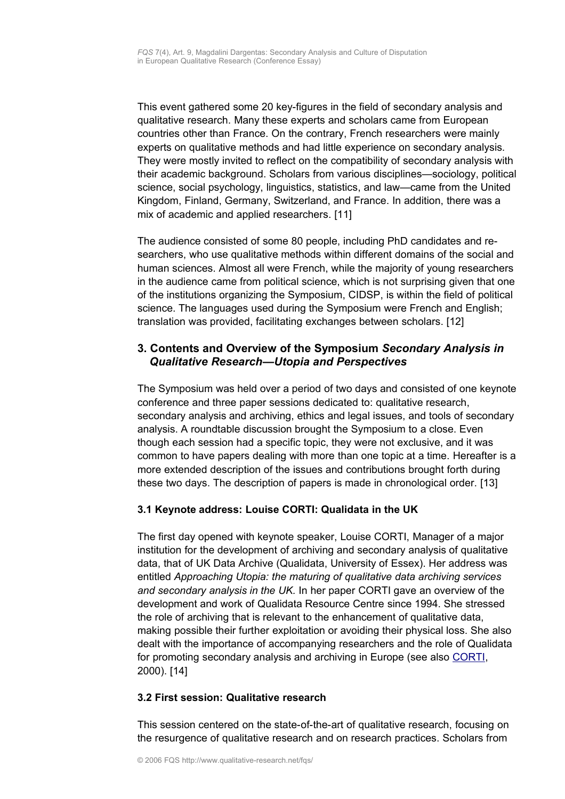This event gathered some 20 key-figures in the field of secondary analysis and qualitative research. Many these experts and scholars came from European countries other than France. On the contrary, French researchers were mainly experts on qualitative methods and had little experience on secondary analysis. They were mostly invited to reflect on the compatibility of secondary analysis with their academic background. Scholars from various disciplines—sociology, political science, social psychology, linguistics, statistics, and law—came from the United Kingdom, Finland, Germany, Switzerland, and France. In addition, there was a mix of academic and applied researchers. [11]

The audience consisted of some 80 people, including PhD candidates and researchers, who use qualitative methods within different domains of the social and human sciences. Almost all were French, while the majority of young researchers in the audience came from political science, which is not surprising given that one of the institutions organizing the Symposium, CIDSP, is within the field of political science. The languages used during the Symposium were French and English; translation was provided, facilitating exchanges between scholars. [12]

# <span id="page-6-2"></span>**3. Contents and Overview of the Symposium** *Secondary Analysis in Qualitative Research—Utopia and Perspectives*

The Symposium was held over a period of two days and consisted of one keynote conference and three paper sessions dedicated to: qualitative research, secondary analysis and archiving, ethics and legal issues, and tools of secondary analysis. A roundtable discussion brought the Symposium to a close. Even though each session had a specific topic, they were not exclusive, and it was common to have papers dealing with more than one topic at a time. Hereafter is a more extended description of the issues and contributions brought forth during these two days. The description of papers is made in chronological order. [13]

## <span id="page-6-1"></span>**3.1 Keynote address: Louise CORTI: Qualidata in the UK**

The first day opened with keynote speaker, Louise CORTI, Manager of a major institution for the development of archiving and secondary analysis of qualitative data, that of UK Data Archive (Qualidata, University of Essex). Her address was entitled *Approaching Utopia: the maturing of qualitative data archiving services and secondary analysis in the UK.* In her paper CORTI gave an overview of the development and work of Qualidata Resource Centre since 1994. She stressed the role of archiving that is relevant to the enhancement of qualitative data, making possible their further exploitation or avoiding their physical loss. She also dealt with the importance of accompanying researchers and the role of Qualidata for promoting secondary analysis and archiving in Europe (see also [CORTI,](http://www.qualitative-research.net/fqs-texte/3-00/3-00corti-e.htm) 2000). [14]

## <span id="page-6-0"></span>**3.2 First session: Qualitative research**

This session centered on the state-of-the-art of qualitative research, focusing on the resurgence of qualitative research and on research practices. Scholars from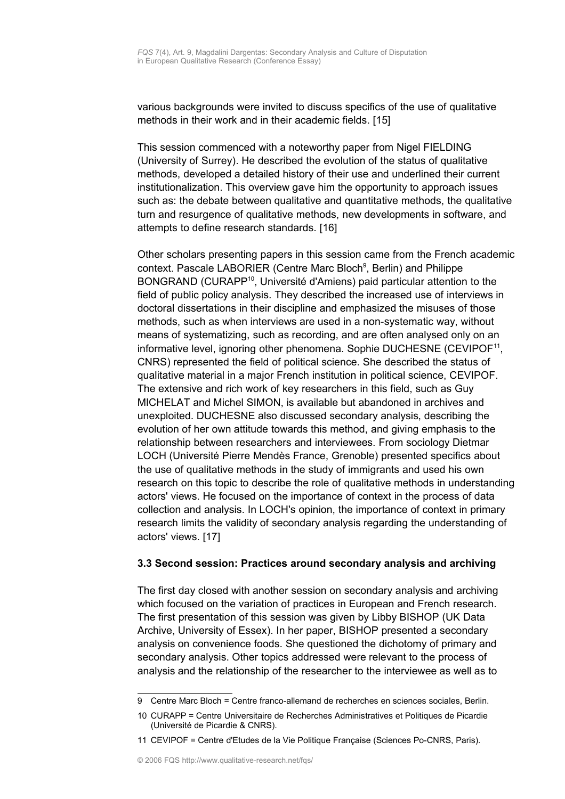various backgrounds were invited to discuss specifics of the use of qualitative methods in their work and in their academic fields. [15]

This session commenced with a noteworthy paper from Nigel FIELDING (University of Surrey). He described the evolution of the status of qualitative methods, developed a detailed history of their use and underlined their current institutionalization. This overview gave him the opportunity to approach issues such as: the debate between qualitative and quantitative methods, the qualitative turn and resurgence of qualitative methods, new developments in software, and attempts to define research standards. [16]

Other scholars presenting papers in this session came from the French academic context. Pascale LABORIER (Centre Marc Bloch<sup>[9](#page-7-1)</sup>, Berlin) and Philippe BONGRAND (CURAPP<sup>[10](#page-7-2)</sup>, Université d'Amiens) paid particular attention to the field of public policy analysis. They described the increased use of interviews in doctoral dissertations in their discipline and emphasized the misuses of those methods, such as when interviews are used in a non-systematic way, without means of systematizing, such as recording, and are often analysed only on an informative level, ignoring other phenomena. Sophie DUCHESNE (CEVIPOF<sup>[11](#page-7-3)</sup>, CNRS) represented the field of political science. She described the status of qualitative material in a major French institution in political science, CEVIPOF. The extensive and rich work of key researchers in this field, such as Guy MICHELAT and Michel SIMON, is available but abandoned in archives and unexploited. DUCHESNE also discussed secondary analysis, describing the evolution of her own attitude towards this method, and giving emphasis to the relationship between researchers and interviewees. From sociology Dietmar LOCH (Université Pierre Mendès France, Grenoble) presented specifics about the use of qualitative methods in the study of immigrants and used his own research on this topic to describe the role of qualitative methods in understanding actors' views. He focused on the importance of context in the process of data collection and analysis. In LOCH's opinion, the importance of context in primary research limits the validity of secondary analysis regarding the understanding of actors' views. [17]

### <span id="page-7-0"></span>**3.3 Second session: Practices around secondary analysis and archiving**

The first day closed with another session on secondary analysis and archiving which focused on the variation of practices in European and French research. The first presentation of this session was given by Libby BISHOP (UK Data Archive, University of Essex). In her paper, BISHOP presented a secondary analysis on convenience foods. She questioned the dichotomy of primary and secondary analysis. Other topics addressed were relevant to the process of analysis and the relationship of the researcher to the interviewee as well as to

<span id="page-7-1"></span><sup>9</sup> Centre Marc Bloch = Centre franco-allemand de recherches en sciences sociales, Berlin.

<span id="page-7-2"></span><sup>10</sup> CURAPP = Centre Universitaire de Recherches Administratives et Politiques de Picardie (Université de Picardie & CNRS).

<span id="page-7-3"></span><sup>11</sup> CEVIPOF = Centre d'Etudes de la Vie Politique Française (Sciences Po-CNRS, Paris).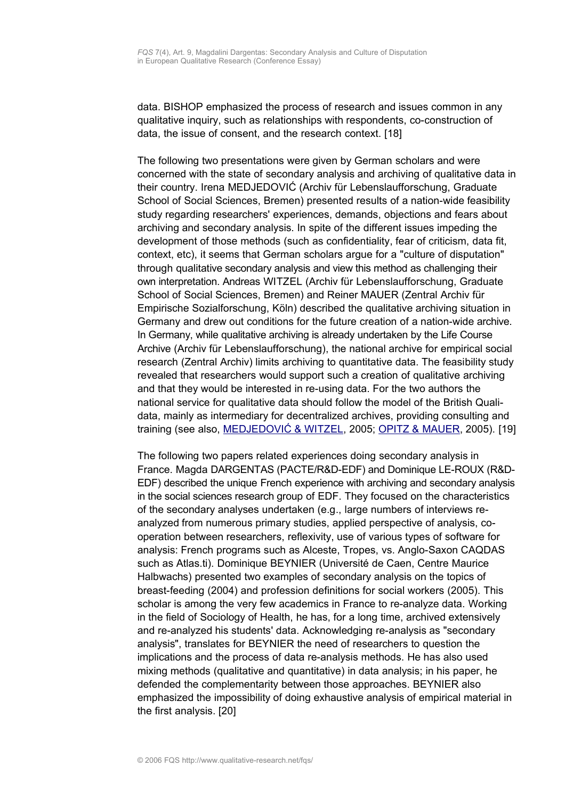data. BISHOP emphasized the process of research and issues common in any qualitative inquiry, such as relationships with respondents, co-construction of data, the issue of consent, and the research context. [18]

The following two presentations were given by German scholars and were concerned with the state of secondary analysis and archiving of qualitative data in their country. Irena MEDJEDOVIĆ (Archiv für Lebenslaufforschung, Graduate School of Social Sciences, Bremen) presented results of a nation-wide feasibility study regarding researchers' experiences, demands, objections and fears about archiving and secondary analysis. In spite of the different issues impeding the development of those methods (such as confidentiality, fear of criticism, data fit, context, etc), it seems that German scholars argue for a "culture of disputation" through qualitative secondary analysis and view this method as challenging their own interpretation. Andreas WITZEL (Archiv für Lebenslaufforschung, Graduate School of Social Sciences, Bremen) and Reiner MAUER (Zentral Archiv für Empirische Sozialforschung, Köln) described the qualitative archiving situation in Germany and drew out conditions for the future creation of a nation-wide archive. In Germany, while qualitative archiving is already undertaken by the Life Course Archive (Archiv für Lebenslaufforschung), the national archive for empirical social research (Zentral Archiv) limits archiving to quantitative data. The feasibility study revealed that researchers would support such a creation of qualitative archiving and that they would be interested in re-using data. For the two authors the national service for qualitative data should follow the model of the British Qualidata, mainly as intermediary for decentralized archives, providing consulting and training (see also, [MEDJEDOVIĆ & WITZEL,](http://www.qualitative-research.net/fqs-texte/1-05/05-1-46-e.htm) 2005; [OPITZ & MAUER,](http://www.qualitative-research.net/fqs-texte/1-05/05-1-43-e.htm) 2005). [19]

The following two papers related experiences doing secondary analysis in France. Magda DARGENTAS (PACTE/R&D-EDF) and Dominique LE-ROUX (R&D-EDF) described the unique French experience with archiving and secondary analysis in the social sciences research group of EDF. They focused on the characteristics of the secondary analyses undertaken (e.g., large numbers of interviews reanalyzed from numerous primary studies, applied perspective of analysis, cooperation between researchers, reflexivity, use of various types of software for analysis: French programs such as Alceste, Tropes, vs. Anglo-Saxon CAQDAS such as Atlas.ti). Dominique BEYNIER (Université de Caen, Centre Maurice Halbwachs) presented two examples of secondary analysis on the topics of breast-feeding (2004) and profession definitions for social workers (2005). This scholar is among the very few academics in France to re-analyze data. Working in the field of Sociology of Health, he has, for a long time, archived extensively and re-analyzed his students' data. Acknowledging re-analysis as "secondary analysis", translates for BEYNIER the need of researchers to question the implications and the process of data re-analysis methods. He has also used mixing methods (qualitative and quantitative) in data analysis; in his paper, he defended the complementarity between those approaches. BEYNIER also emphasized the impossibility of doing exhaustive analysis of empirical material in the first analysis. [20]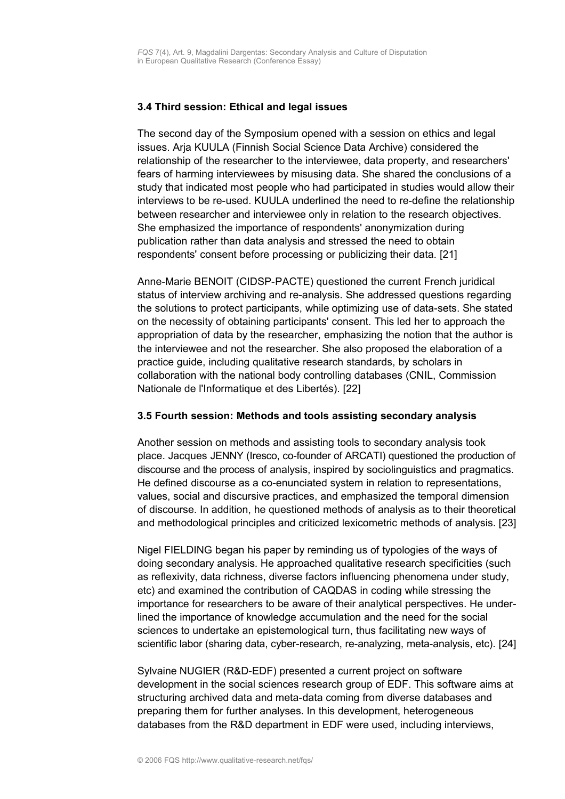### <span id="page-9-1"></span>**3.4 Third session: Ethical and legal issues**

The second day of the Symposium opened with a session on ethics and legal issues. Arja KUULA (Finnish Social Science Data Archive) considered the relationship of the researcher to the interviewee, data property, and researchers' fears of harming interviewees by misusing data. She shared the conclusions of a study that indicated most people who had participated in studies would allow their interviews to be re-used. KUULA underlined the need to re-define the relationship between researcher and interviewee only in relation to the research objectives. She emphasized the importance of respondents' anonymization during publication rather than data analysis and stressed the need to obtain respondents' consent before processing or publicizing their data. [21]

Anne-Marie BENOIT (CIDSP-PACTE) questioned the current French juridical status of interview archiving and re-analysis. She addressed questions regarding the solutions to protect participants, while optimizing use of data-sets. She stated on the necessity of obtaining participants' consent. This led her to approach the appropriation of data by the researcher, emphasizing the notion that the author is the interviewee and not the researcher. She also proposed the elaboration of a practice guide, including qualitative research standards, by scholars in collaboration with the national body controlling databases (CNIL, Commission Nationale de l'Informatique et des Libertés). [22]

### <span id="page-9-0"></span>**3.5 Fourth session: Methods and tools assisting secondary analysis**

Another session on methods and assisting tools to secondary analysis took place. Jacques JENNY (Iresco, co-founder of ARCATI) questioned the production of discourse and the process of analysis, inspired by sociolinguistics and pragmatics. He defined discourse as a co-enunciated system in relation to representations, values, social and discursive practices, and emphasized the temporal dimension of discourse. In addition, he questioned methods of analysis as to their theoretical and methodological principles and criticized lexicometric methods of analysis. [23]

Nigel FIELDING began his paper by reminding us of typologies of the ways of doing secondary analysis. He approached qualitative research specificities (such as reflexivity, data richness, diverse factors influencing phenomena under study, etc) and examined the contribution of CAQDAS in coding while stressing the importance for researchers to be aware of their analytical perspectives. He underlined the importance of knowledge accumulation and the need for the social sciences to undertake an epistemological turn, thus facilitating new ways of scientific labor (sharing data, cyber-research, re-analyzing, meta-analysis, etc). [24]

Sylvaine NUGIER (R&D-EDF) presented a current project on software development in the social sciences research group of EDF. This software aims at structuring archived data and meta-data coming from diverse databases and preparing them for further analyses. In this development, heterogeneous databases from the R&D department in EDF were used, including interviews,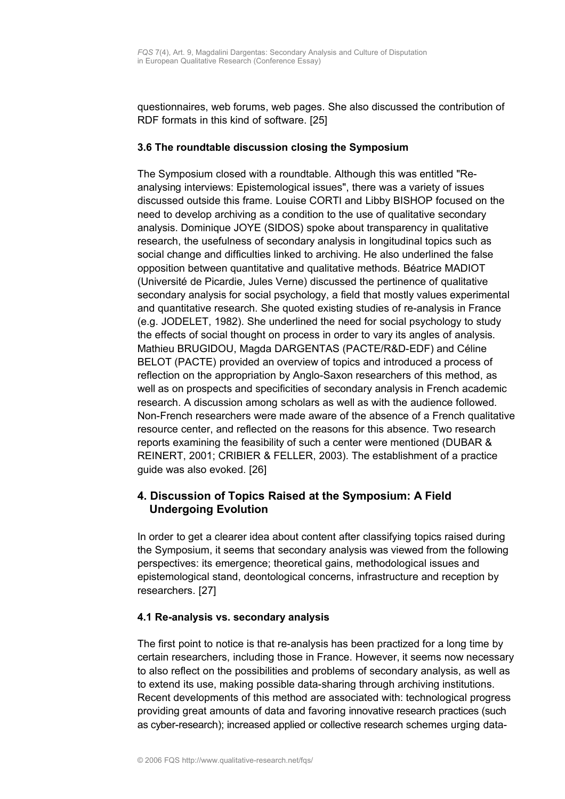questionnaires, web forums, web pages. She also discussed the contribution of RDF formats in this kind of software. [25]

### <span id="page-10-2"></span>**3.6 The roundtable discussion closing the Symposium**

The Symposium closed with a roundtable. Although this was entitled "Reanalysing interviews: Epistemological issues", there was a variety of issues discussed outside this frame. Louise CORTI and Libby BISHOP focused on the need to develop archiving as a condition to the use of qualitative secondary analysis. Dominique JOYE (SIDOS) spoke about transparency in qualitative research, the usefulness of secondary analysis in longitudinal topics such as social change and difficulties linked to archiving. He also underlined the false opposition between quantitative and qualitative methods. Béatrice MADIOT (Université de Picardie, Jules Verne) discussed the pertinence of qualitative secondary analysis for social psychology, a field that mostly values experimental and quantitative research. She quoted existing studies of re-analysis in France (e.g. JODELET, 1982). She underlined the need for social psychology to study the effects of social thought on process in order to vary its angles of analysis. Mathieu BRUGIDOU, Magda DARGENTAS (PACTE/R&D-EDF) and Céline BELOT (PACTE) provided an overview of topics and introduced a process of reflection on the appropriation by Anglo-Saxon researchers of this method, as well as on prospects and specificities of secondary analysis in French academic research. A discussion among scholars as well as with the audience followed. Non-French researchers were made aware of the absence of a French qualitative resource center, and reflected on the reasons for this absence. Two research reports examining the feasibility of such a center were mentioned (DUBAR & REINERT, 2001; CRIBIER & FELLER, 2003). The establishment of a practice guide was also evoked. [26]

# <span id="page-10-1"></span>**4. Discussion of Topics Raised at the Symposium: A Field Undergoing Evolution**

In order to get a clearer idea about content after classifying topics raised during the Symposium, it seems that secondary analysis was viewed from the following perspectives: its emergence; theoretical gains, methodological issues and epistemological stand, deontological concerns, infrastructure and reception by researchers. [27]

### <span id="page-10-0"></span>**4.1 Re-analysis vs. secondary analysis**

The first point to notice is that re-analysis has been practized for a long time by certain researchers, including those in France. However, it seems now necessary to also reflect on the possibilities and problems of secondary analysis, as well as to extend its use, making possible data-sharing through archiving institutions. Recent developments of this method are associated with: technological progress providing great amounts of data and favoring innovative research practices (such as cyber-research); increased applied or collective research schemes urging data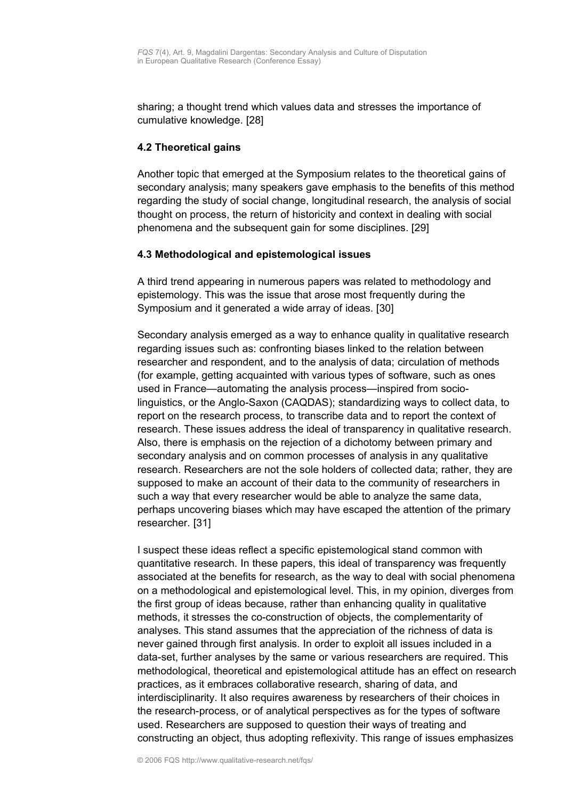sharing; a thought trend which values data and stresses the importance of cumulative knowledge. [28]

### <span id="page-11-1"></span>**4.2 Theoretical gains**

Another topic that emerged at the Symposium relates to the theoretical gains of secondary analysis; many speakers gave emphasis to the benefits of this method regarding the study of social change, longitudinal research, the analysis of social thought on process, the return of historicity and context in dealing with social phenomena and the subsequent gain for some disciplines. [29]

### <span id="page-11-0"></span>**4.3 Methodological and epistemological issues**

A third trend appearing in numerous papers was related to methodology and epistemology. This was the issue that arose most frequently during the Symposium and it generated a wide array of ideas. [30]

Secondary analysis emerged as a way to enhance quality in qualitative research regarding issues such as: confronting biases linked to the relation between researcher and respondent, and to the analysis of data; circulation of methods (for example, getting acquainted with various types of software, such as ones used in France—automating the analysis process—inspired from sociolinguistics, or the Anglo-Saxon (CAQDAS); standardizing ways to collect data, to report on the research process, to transcribe data and to report the context of research. These issues address the ideal of transparency in qualitative research. Also, there is emphasis on the rejection of a dichotomy between primary and secondary analysis and on common processes of analysis in any qualitative research. Researchers are not the sole holders of collected data; rather, they are supposed to make an account of their data to the community of researchers in such a way that every researcher would be able to analyze the same data, perhaps uncovering biases which may have escaped the attention of the primary researcher. [31]

I suspect these ideas reflect a specific epistemological stand common with quantitative research. In these papers, this ideal of transparency was frequently associated at the benefits for research, as the way to deal with social phenomena on a methodological and epistemological level. This, in my opinion, diverges from the first group of ideas because, rather than enhancing quality in qualitative methods, it stresses the co-construction of objects, the complementarity of analyses. This stand assumes that the appreciation of the richness of data is never gained through first analysis. In order to exploit all issues included in a data-set, further analyses by the same or various researchers are required. This methodological, theoretical and epistemological attitude has an effect on research practices, as it embraces collaborative research, sharing of data, and interdisciplinarity. It also requires awareness by researchers of their choices in the research-process, or of analytical perspectives as for the types of software used. Researchers are supposed to question their ways of treating and constructing an object, thus adopting reflexivity. This range of issues emphasizes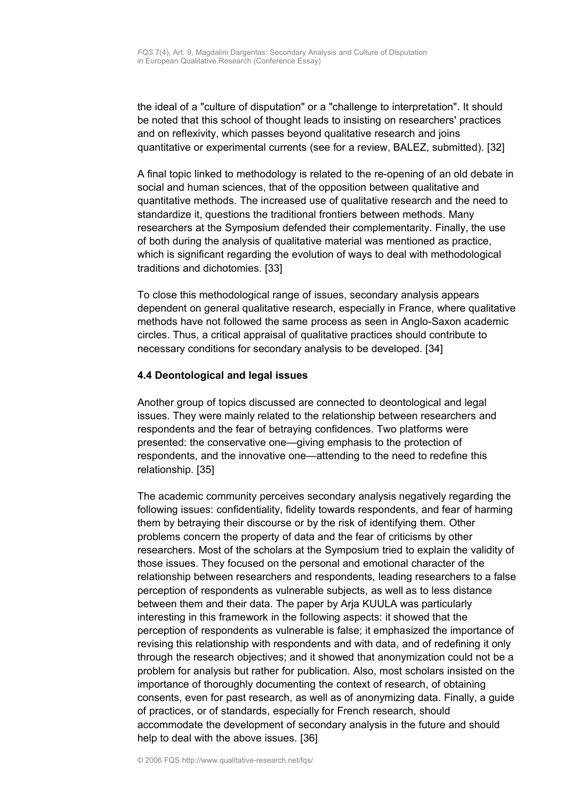the ideal of a "culture of disputation" or a "challenge to interpretation". It should be noted that this school of thought leads to insisting on researchers' practices and on reflexivity, which passes beyond qualitative research and joins quantitative or experimental currents (see for a review, BALEZ, submitted). [32]

A final topic linked to methodology is related to the re-opening of an old debate in social and human sciences, that of the opposition between qualitative and quantitative methods. The increased use of qualitative research and the need to standardize it, questions the traditional frontiers between methods. Many researchers at the Symposium defended their complementarity. Finally, the use of both during the analysis of qualitative material was mentioned as practice, which is significant regarding the evolution of ways to deal with methodological traditions and dichotomies. [33]

To close this methodological range of issues, secondary analysis appears dependent on general qualitative research, especially in France, where qualitative methods have not followed the same process as seen in Anglo-Saxon academic circles. Thus, a critical appraisal of qualitative practices should contribute to necessary conditions for secondary analysis to be developed. [34]

### <span id="page-12-0"></span>**4.4 Deontological and legal issues**

Another group of topics discussed are connected to deontological and legal issues. They were mainly related to the relationship between researchers and respondents and the fear of betraying confidences. Two platforms were presented: the conservative one—giving emphasis to the protection of respondents, and the innovative one—attending to the need to redefine this relationship. [35]

The academic community perceives secondary analysis negatively regarding the following issues: confidentiality, fidelity towards respondents, and fear of harming them by betraying their discourse or by the risk of identifying them. Other problems concern the property of data and the fear of criticisms by other researchers. Most of the scholars at the Symposium tried to explain the validity of those issues. They focused on the personal and emotional character of the relationship between researchers and respondents, leading researchers to a false perception of respondents as vulnerable subjects, as well as to less distance between them and their data. The paper by Arja KUULA was particularly interesting in this framework in the following aspects: it showed that the perception of respondents as vulnerable is false; it emphasized the importance of revising this relationship with respondents and with data, and of redefining it only through the research objectives; and it showed that anonymization could not be a problem for analysis but rather for publication. Also, most scholars insisted on the importance of thoroughly documenting the context of research, of obtaining consents, even for past research, as well as of anonymizing data. Finally, a guide of practices, or of standards, especially for French research, should accommodate the development of secondary analysis in the future and should help to deal with the above issues. [36]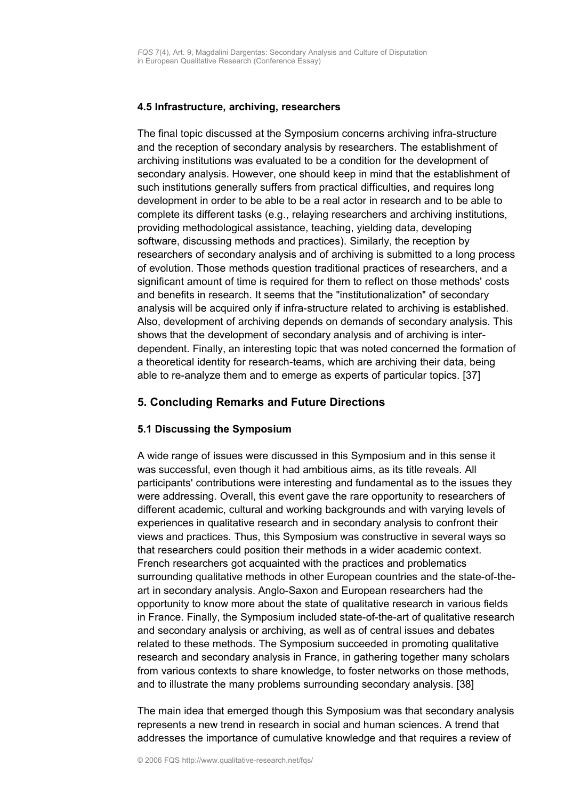### <span id="page-13-2"></span>**4.5 Infrastructure, archiving, researchers**

The final topic discussed at the Symposium concerns archiving infra-structure and the reception of secondary analysis by researchers. The establishment of archiving institutions was evaluated to be a condition for the development of secondary analysis. However, one should keep in mind that the establishment of such institutions generally suffers from practical difficulties, and requires long development in order to be able to be a real actor in research and to be able to complete its different tasks (e.g., relaying researchers and archiving institutions, providing methodological assistance, teaching, yielding data, developing software, discussing methods and practices). Similarly, the reception by researchers of secondary analysis and of archiving is submitted to a long process of evolution. Those methods question traditional practices of researchers, and a significant amount of time is required for them to reflect on those methods' costs and benefits in research. It seems that the "institutionalization" of secondary analysis will be acquired only if infra-structure related to archiving is established. Also, development of archiving depends on demands of secondary analysis. This shows that the development of secondary analysis and of archiving is interdependent. Finally, an interesting topic that was noted concerned the formation of a theoretical identity for research-teams, which are archiving their data, being able to re-analyze them and to emerge as experts of particular topics. [37]

## <span id="page-13-1"></span>**5. Concluding Remarks and Future Directions**

## <span id="page-13-0"></span>**5.1 Discussing the Symposium**

A wide range of issues were discussed in this Symposium and in this sense it was successful, even though it had ambitious aims, as its title reveals. All participants' contributions were interesting and fundamental as to the issues they were addressing. Overall, this event gave the rare opportunity to researchers of different academic, cultural and working backgrounds and with varying levels of experiences in qualitative research and in secondary analysis to confront their views and practices. Thus, this Symposium was constructive in several ways so that researchers could position their methods in a wider academic context. French researchers got acquainted with the practices and problematics surrounding qualitative methods in other European countries and the state-of-theart in secondary analysis. Anglo-Saxon and European researchers had the opportunity to know more about the state of qualitative research in various fields in France. Finally, the Symposium included state-of-the-art of qualitative research and secondary analysis or archiving, as well as of central issues and debates related to these methods. The Symposium succeeded in promoting qualitative research and secondary analysis in France, in gathering together many scholars from various contexts to share knowledge, to foster networks on those methods, and to illustrate the many problems surrounding secondary analysis. [38]

The main idea that emerged though this Symposium was that secondary analysis represents a new trend in research in social and human sciences. A trend that addresses the importance of cumulative knowledge and that requires a review of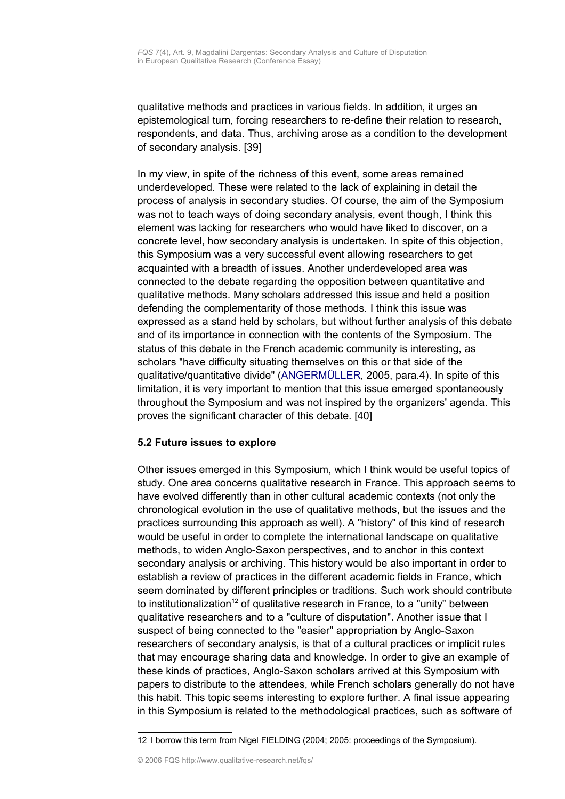qualitative methods and practices in various fields. In addition, it urges an epistemological turn, forcing researchers to re-define their relation to research, respondents, and data. Thus, archiving arose as a condition to the development of secondary analysis. [39]

In my view, in spite of the richness of this event, some areas remained underdeveloped. These were related to the lack of explaining in detail the process of analysis in secondary studies. Of course, the aim of the Symposium was not to teach ways of doing secondary analysis, event though, I think this element was lacking for researchers who would have liked to discover, on a concrete level, how secondary analysis is undertaken. In spite of this objection, this Symposium was a very successful event allowing researchers to get acquainted with a breadth of issues. Another underdeveloped area was connected to the debate regarding the opposition between quantitative and qualitative methods. Many scholars addressed this issue and held a position defending the complementarity of those methods. I think this issue was expressed as a stand held by scholars, but without further analysis of this debate and of its importance in connection with the contents of the Symposium. The status of this debate in the French academic community is interesting, as scholars "have difficulty situating themselves on this or that side of the qualitative/quantitative divide" [\(ANGERMÜLLER,](http://www.qualitative-research.net/fqs-texte/3-05/05-3-19-e.htm) 2005, para.4). In spite of this limitation, it is very important to mention that this issue emerged spontaneously throughout the Symposium and was not inspired by the organizers' agenda. This proves the significant character of this debate. [40]

## <span id="page-14-0"></span>**5.2 Future issues to explore**

Other issues emerged in this Symposium, which I think would be useful topics of study. One area concerns qualitative research in France. This approach seems to have evolved differently than in other cultural academic contexts (not only the chronological evolution in the use of qualitative methods, but the issues and the practices surrounding this approach as well). A "history" of this kind of research would be useful in order to complete the international landscape on qualitative methods, to widen Anglo-Saxon perspectives, and to anchor in this context secondary analysis or archiving. This history would be also important in order to establish a review of practices in the different academic fields in France, which seem dominated by different principles or traditions. Such work should contribute to institutionalization<sup>[12](#page-14-1)</sup> of qualitative research in France, to a "unity" between qualitative researchers and to a "culture of disputation". Another issue that I suspect of being connected to the "easier" appropriation by Anglo-Saxon researchers of secondary analysis, is that of a cultural practices or implicit rules that may encourage sharing data and knowledge. In order to give an example of these kinds of practices, Anglo-Saxon scholars arrived at this Symposium with papers to distribute to the attendees, while French scholars generally do not have this habit. This topic seems interesting to explore further. A final issue appearing in this Symposium is related to the methodological practices, such as software of

<span id="page-14-1"></span><sup>12</sup> I borrow this term from Nigel FIELDING (2004; 2005: proceedings of the Symposium).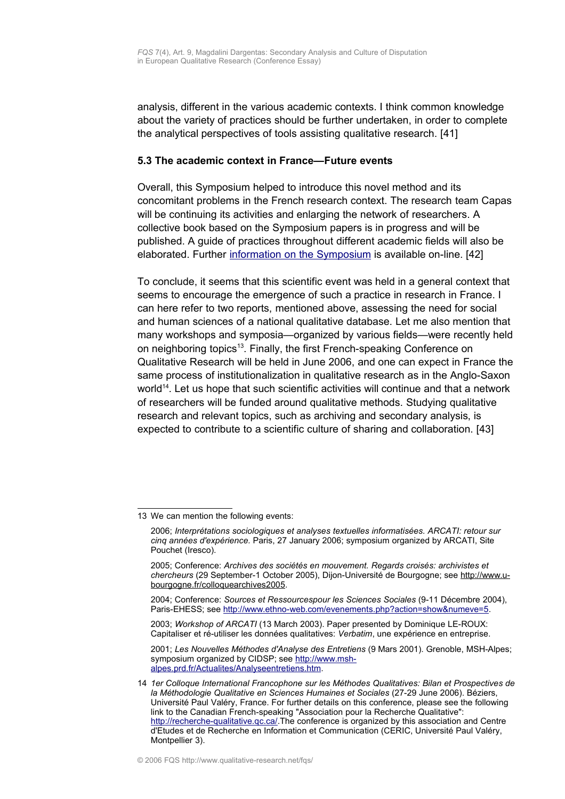analysis, different in the various academic contexts. I think common knowledge about the variety of practices should be further undertaken, in order to complete the analytical perspectives of tools assisting qualitative research. [41]

### <span id="page-15-0"></span>**5.3 The academic context in France—Future events**

Overall, this Symposium helped to introduce this novel method and its concomitant problems in the French research context. The research team Capas will be continuing its activities and enlarging the network of researchers. A collective book based on the Symposium papers is in progress and will be published. A guide of practices throughout different academic fields will also be elaborated. Further [information on the Symposium](http://www.pacte.cnrs.fr/Productions/Seminaires/Capas/05-11-3et4.htm) is available on-line. [42]

To conclude, it seems that this scientific event was held in a general context that seems to encourage the emergence of such a practice in research in France. I can here refer to two reports, mentioned above, assessing the need for social and human sciences of a national qualitative database. Let me also mention that many workshops and symposia—organized by various fields—were recently held on neighboring topics<sup>[13](#page-15-1)</sup>. Finally, the first French-speaking Conference on Qualitative Research will be held in June 2006, and one can expect in France the same process of institutionalization in qualitative research as in the Anglo-Saxon world<sup>[14](#page-15-2)</sup>. Let us hope that such scientific activities will continue and that a network of researchers will be funded around qualitative methods. Studying qualitative research and relevant topics, such as archiving and secondary analysis, is expected to contribute to a scientific culture of sharing and collaboration. [43]

2001; *Les Nouvelles Méthodes d'Analyse des Entretiens* (9 Mars 2001). Grenoble, MSH-Alpes; symposium organized by CIDSP; see [http://www.msh](http://www.msh-alpes.prd.fr/Actualites/Analyseentretiens.htm)[alpes.prd.fr/Actualites/Analyseentretiens.htm.](http://www.msh-alpes.prd.fr/Actualites/Analyseentretiens.htm)

<span id="page-15-1"></span><sup>13</sup> We can mention the following events:

<sup>2006;</sup> *Interprétations sociologiques et analyses textuelles informatisées. ARCATI: retour sur cinq années d'expérience.* Paris, 27 January 2006; symposium organized by ARCATI, Site Pouchet (Iresco).

<sup>2005;</sup> Conference: *Archives des sociétés en mouvement. Regards croisés: archivistes et chercheurs* (29 September-1 October 2005), Dijon-Université de Bourgogne; see http://www.ubourgogne.fr/colloquearchives2005.

<sup>2004;</sup> Conference: *Sources et Ressourcespour les Sciences Sociales* (9-11 Décembre 2004), Paris-EHESS; see [http://www.ethno-web.com/evenements.php?action=show&numeve=5.](http://www.ethno-web.com/evenements.php?action=show&numeve=5)

<sup>2003;</sup> *Workshop of ARCATI* (13 March 2003). Paper presented by Dominique LE-ROUX: Capitaliser et ré-utiliser les données qualitatives: *Verbatim*, une expérience en entreprise.

<span id="page-15-2"></span><sup>14</sup> *1er Colloque International Francophone sur les Méthodes Qualitatives: Bilan et Prospectives de la Méthodologie Qualitative en Sciences Humaines et Sociales* (27-29 June 2006). Béziers, Université Paul Valéry, France. For further details on this conference, please see the following link to the Canadian French-speaking "Association pour la Recherche Qualitative": http://recherche-qualitative.gc.ca/.The conference is organized by this association and Centre d'Etudes et de Recherche en Information et Communication (CERIC, Université Paul Valéry, Montpellier 3).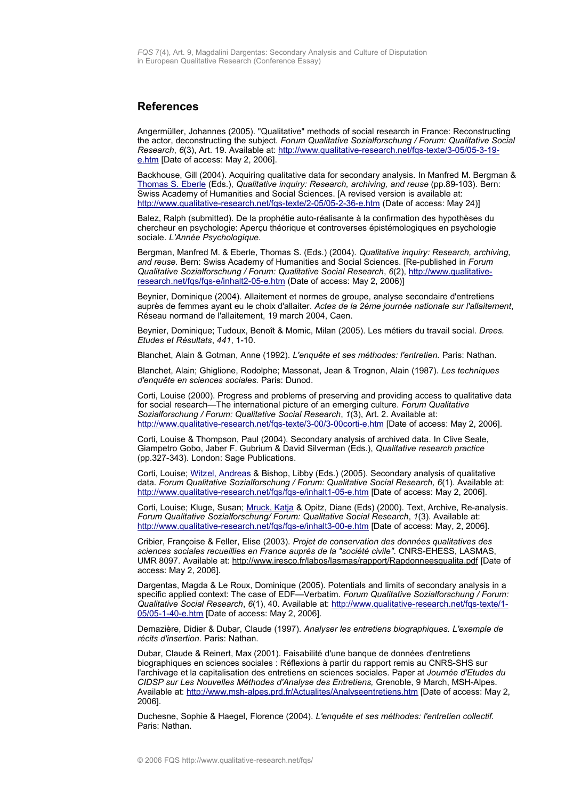#### <span id="page-16-0"></span>**References**

Angermüller, Johannes (2005). "Qualitative" methods of social research in France: Reconstructing the actor, deconstructing the subject. *Forum Qualitative Sozialforschung / Forum: Qualitative Social Research*, *6*(3), Art. 19. Available at: [http://www.qualitative-research.net/fqs-texte/3-05/05-3-19](http://www.qualitative-research.net/fqs-texte/3-05/05-3-19-e.htm) [e.htm](http://www.qualitative-research.net/fqs-texte/3-05/05-3-19-e.htm) [Date of access: May 2, 2006].

Backhouse, Gill (2004). Acquiring qualitative data for secondary analysis. In Manfred M. Bergman & [Thomas S. Eberle](http://www.qualitative-research.net/fqs/beirat/eberle-e.htm) (Eds.), *Qualitative inquiry: Research, archiving, and reuse* (pp.89-103)*.* Bern: Swiss Academy of Humanities and Social Sciences. [A revised version is available at: <http://www.qualitative-research.net/fqs-texte/2-05/05-2-36-e.htm>(Date of access: May 24)]

Balez, Ralph (submitted). De la prophétie auto-réalisante à la confirmation des hypothèses du chercheur en psychologie: Aperçu théorique et controverses épistémologiques en psychologie sociale. *L'Année Psychologique.*

Bergman, Manfred M. & Eberle, Thomas S. (Eds.) (2004). *Qualitative inquiry: Research, archiving, and reuse.* Bern: Swiss Academy of Humanities and Social Sciences. [Re-published in *Forum Qualitative Sozialforschung / Forum: Qualitative Social Research*, *6*(2), [http://www.qualitative](http://www.qualitative-research.net/fqs/fqs-e/inhalt2-05-e.htm)[research.net/fqs/fqs-e/inhalt2-05-e.htm](http://www.qualitative-research.net/fqs/fqs-e/inhalt2-05-e.htm) (Date of access: May 2, 2006)]

Beynier, Dominique (2004). Allaitement et normes de groupe, analyse secondaire d'entretiens auprès de femmes ayant eu le choix d'allaiter. *Actes de la 2ème journée nationale sur l'allaitement*, Réseau normand de l'allaitement, 19 march 2004, Caen.

Beynier, Dominique; Tudoux, Benoît & Momic, Milan (2005). Les métiers du travail social. *Drees. Etudes et Résultats*, *441*, 1-10.

Blanchet, Alain & Gotman, Anne (1992). *L'enquête et ses méthodes: l'entretien.* Paris: Nathan.

Blanchet, Alain; Ghiglione, Rodolphe; Massonat, Jean & Trognon, Alain (1987). *Les techniques d'enquête en sciences sociales.* Paris: Dunod.

Corti, Louise (2000). Progress and problems of preserving and providing access to qualitative data for social research—The international picture of an emerging culture. *Forum Qualitative Sozialforschung / Forum: Qualitative Social Research*, *1*(3), Art. 2. Available at: <http://www.qualitative-research.net/fqs-texte/3-00/3-00corti-e.htm>[Date of access: May 2, 2006].

Corti, Louise & Thompson, Paul (2004). Secondary analysis of archived data. In Clive Seale, Giampetro Gobo, Jaber F. Gubrium & David Silverman (Eds.), *Qualitative research practice* (pp.327-343). London: Sage Publications.

Corti, Louise; [Witzel, Andreas](http://www.qualitative-research.net/fqs/beirat/witzel-e.htm) & Bishop, Libby (Eds.) (2005). Secondary analysis of qualitative data. *Forum Qualitative Sozialforschung / Forum: Qualitative Social Research, 6*(1). Available at: <http://www.qualitative-research.net/fqs/fqs-e/inhalt1-05-e.htm>[Date of access: May 2, 2006].

Corti, Louise; Kluge, Susan; [Mruck, Katja](http://www.qualitative-research.net/fqs/impressum/mruck-e.htm) & Opitz, Diane (Eds) (2000). Text, Archive, Re-analysis. *Forum Qualitative Sozialforschung/ Forum: Qualitative Social Research*, *1*(3). Available at: <http://www.qualitative-research.net/fqs/fqs-e/inhalt3-00-e.htm>[Date of access: May, 2, 2006].

Cribier, Françoise & Feller, Elise (2003). *Projet de conservation des données qualitatives des sciences sociales recueillies en France auprès de la "société civile".* CNRS-EHESS, LASMAS, UMR 8097. Available at: http://www.iresco.fr/labos/lasmas/rapport/Rapdonneesqualita.pdf [Date of access: May 2, 2006].

Dargentas, Magda & Le Roux, Dominique (2005). Potentials and limits of secondary analysis in a specific applied context: The case of EDF—Verbatim. *Forum Qualitative Sozialforschung / Forum: Qualitative Social Research*, *6*(1), 40. Available at: [http://www.qualitative-research.net/fqs-texte/1-](http://www.qualitative-research.net/fqs-texte/1-05/05-1-40-e.htm) [05/05-1-40-e.htm](http://www.qualitative-research.net/fqs-texte/1-05/05-1-40-e.htm) [Date of access: May 2, 2006].

Demazière, Didier & Dubar, Claude (1997). *Analyser les entretiens biographiques. L'exemple de récits d'insertion.* Paris: Nathan.

Dubar, Claude & Reinert, Max (2001). Faisabilité d'une banque de données d'entretiens biographiques en sciences sociales : Réflexions à partir du rapport remis au CNRS-SHS sur l'archivage et la capitalisation des entretiens en sciences sociales. Paper at *Journée d'Etudes du CIDSP sur Les Nouvelles Méthodes d'Analyse des Entretiens,* Grenoble, 9 March, MSH-Alpes. Available at: <http://www.msh-alpes.prd.fr/Actualites/Analyseentretiens.htm>[Date of access: May 2, 2006].

Duchesne, Sophie & Haegel, Florence (2004). *L'enquête et ses méthodes: l'entretien collectif.* Paris: Nathan.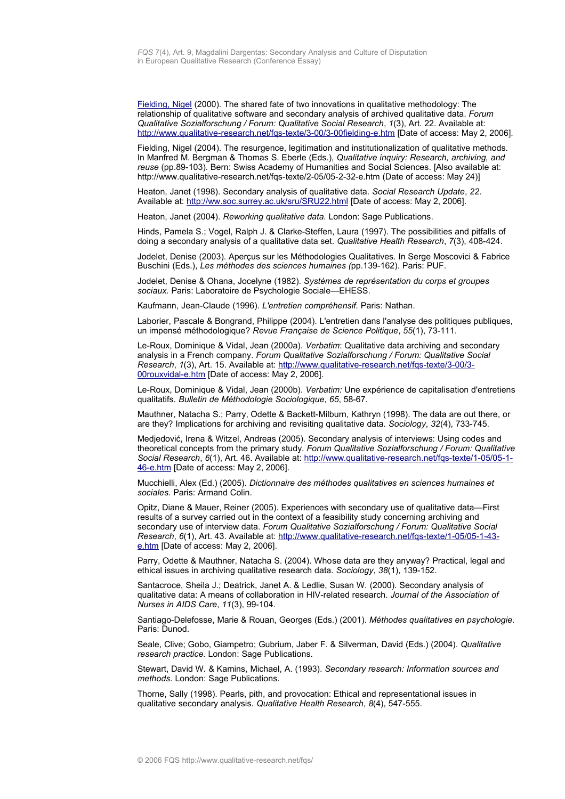[Fielding, Nigel](http://www.qualitative-research.net/fqs/beirat/fielding-e.htm) (2000). The shared fate of two innovations in qualitative methodology: The relationship of qualitative software and secondary analysis of archived qualitative data. *Forum Qualitative Sozialforschung / Forum: Qualitative Social Research*, *1*(3), Art. 22. Available at: <http://www.qualitative-research.net/fqs-texte/3-00/3-00fielding-e.htm>[Date of access: May 2, 2006].

Fielding, Nigel (2004). The resurgence, legitimation and institutionalization of qualitative methods. In Manfred M. Bergman & Thomas S. Eberle (Eds.), *Qualitative inquiry: Research, archiving, and reuse* (pp.89-103)*.* Bern: Swiss Academy of Humanities and Social Sciences. [Also available at: http://www.qualitative-research.net/fqs-texte/2-05/05-2-32-e.htm (Date of access: May 24)]

Heaton, Janet (1998). Secondary analysis of qualitative data. *Social Research Update*, *22*. Available at: [http://ww.soc.surrey.ac.uk/sru/SRU22.html](http://www.soc.surrey.ac.uk/sru/SRU22.html) [Date of access: May 2, 2006].

Heaton, Janet (2004). *Reworking qualitative data.* London: Sage Publications.

Hinds, Pamela S.; Vogel, Ralph J. & Clarke-Steffen, Laura (1997). The possibilities and pitfalls of doing a secondary analysis of a qualitative data set. *Qualitative Health Research*, *7*(3), 408-424.

Jodelet, Denise (2003). Aperçus sur les Méthodologies Qualitatives. In Serge Moscovici & Fabrice Buschini (Eds.), *Les méthodes des sciences humaines (*pp.139-162)*.* Paris: PUF.

Jodelet, Denise & Ohana, Jocelyne (1982). *Systèmes de représentation du corps et groupes sociaux.* Paris: Laboratoire de Psychologie Sociale—EHESS.

Kaufmann, Jean-Claude (1996). *L'entretien compréhensif.* Paris: Nathan.

Laborier, Pascale & Bongrand, Philippe (2004). L'entretien dans l'analyse des politiques publiques, un impensé méthodologique? *Revue Française de Science Politique*, *55*(1), 73-111.

Le-Roux, Dominique & Vidal, Jean (2000a). *Verbatim*: Qualitative data archiving and secondary analysis in a French company. *Forum Qualitative Sozialforschung / Forum: Qualitative Social Research*, *1*(3), Art. 15. Available at: [http://www.qualitative-research.net/fqs-texte/3-00/3-](http://www.qualitative-research.net/fqs-texte/3-00/3-00rouxvidal-e.htm) [00rouxvidal-e.htm](http://www.qualitative-research.net/fqs-texte/3-00/3-00rouxvidal-e.htm) [Date of access: May 2, 2006].

Le-Roux, Dominique & Vidal, Jean (2000b). *Verbatim:* Une expérience de capitalisation d'entretiens qualitatifs. *Bulletin de Méthodologie Sociologique*, *65*, 58-67.

Mauthner, Natacha S.; Parry, Odette & Backett-Milburn, Kathryn (1998). The data are out there, or are they? Implications for archiving and revisiting qualitative data. *Sociology*, *32*(4), 733-745.

Medjedović, Irena & Witzel, Andreas (2005). Secondary analysis of interviews: Using codes and theoretical concepts from the primary study. *Forum Qualitative Sozialforschung / Forum: Qualitative Social Research*, *6*(1), Art. 46. Available at: [http://www.qualitative-research.net/fqs-texte/1-05/05-1-](http://www.qualitative-research.net/fqs-texte/1-05/05-1-46-e.htm) [46-e.htm](http://www.qualitative-research.net/fqs-texte/1-05/05-1-46-e.htm) [Date of access: May 2, 2006].

Mucchielli, Alex (Ed.) (2005). *Dictionnaire des méthodes qualitatives en sciences humaines et sociales.* Paris: Armand Colin.

Opitz, Diane & Mauer, Reiner (2005). Experiences with secondary use of qualitative data—First results of a survey carried out in the context of a feasibility study concerning archiving and secondary use of interview data. *Forum Qualitative Sozialforschung / Forum: Qualitative Social Research*, *6*(1), Art. 43. Available at: [http://www.qualitative-research.net/fqs-texte/1-05/05-1-43](http://www.qualitative-research.net/fqs-texte/1-05/05-1-43-e.htm) [e.htm](http://www.qualitative-research.net/fqs-texte/1-05/05-1-43-e.htm) [Date of access: May 2, 2006].

Parry, Odette & Mauthner, Natacha S. (2004). Whose data are they anyway? Practical, legal and ethical issues in archiving qualitative research data. *Sociology*, *38*(1), 139-152.

Santacroce, Sheila J.; Deatrick, Janet A. & Ledlie, Susan W. (2000). Secondary analysis of qualitative data: A means of collaboration in HIV-related research. *Journal of the Association of Nurses in AIDS Care*, *11*(3), 99-104.

Santiago-Delefosse, Marie & Rouan, Georges (Eds.) (2001). *Méthodes qualitatives en psychologie.* Paris: Dunod.

Seale, Clive; Gobo, Giampetro; Gubrium, Jaber F. & Silverman, David (Eds.) (2004). *Qualitative research practice.* London: Sage Publications.

Stewart, David W. & Kamins, Michael, A. (1993). *Secondary research: Information sources and methods.* London: Sage Publications.

Thorne, Sally (1998). Pearls, pith, and provocation: Ethical and representational issues in qualitative secondary analysis. *Qualitative Health Research*, *8*(4), 547-555.